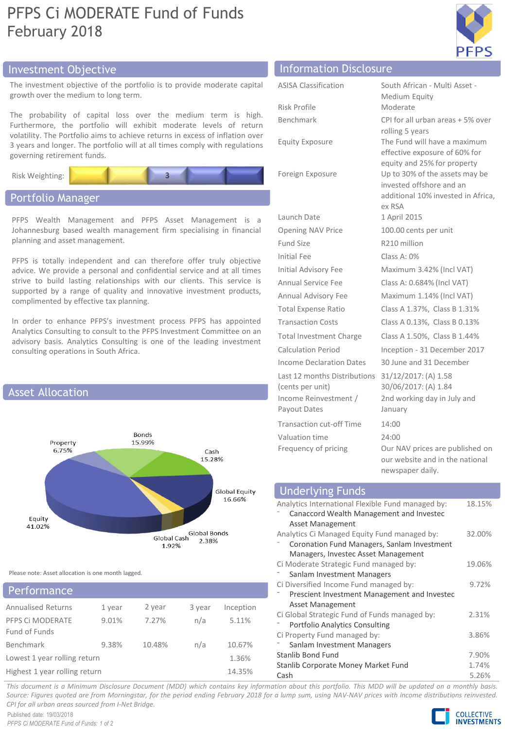## PFPS Ci MODERATE Fund of Funds February 2018



## Investment Objective Information Disclosure

The investment objective of the portfolio is to provide moderate capital growth over the medium to long term.

The probability of capital loss over the medium term is high. Furthermore, the portfolio will exhibit moderate levels of return volatility. The Portfolio aims to achieve returns in excess of inflation over 3 years and longer. The portfolio will at all times comply with regulations governing retirement funds.

Risk Weighting:

## Portfolio Manager

PFPS Wealth Management and PFPS Asset Management is a Johannesburg based wealth management firm specialising in financial planning and asset management.

PFPS is totally independent and can therefore offer truly objective advice. We provide a personal and confidential service and at all times strive to build lasting relationships with our clients. This service is supported by a range of quality and innovative investment products, complimented by effective tax planning.

In order to enhance PFPS's investment process PFPS has appointed Analytics Consulting to consult to the PFPS Investment Committee on an advisory basis. Analytics Consulting is one of the leading investment consulting operations in South Africa.



Please note: Asset allocation is one month lagged.

| Performance                       |        |        |        |           |
|-----------------------------------|--------|--------|--------|-----------|
| <b>Annualised Returns</b>         | 1 year | 2 year | 3 year | Inception |
| PFPS CI MODERATE<br>Fund of Funds | 9.01%  | 7.27%  | n/a    | 5.11%     |
| Benchmark                         | 9.38%  | 10.48% | n/a    | 10.67%    |
| Lowest 1 year rolling return      |        |        |        | 1.36%     |
| Highest 1 year rolling return     |        |        |        | 14.35%    |

| <b>Information</b> <i>Piscrosal</i> C                                                     |                                                                                                            |
|-------------------------------------------------------------------------------------------|------------------------------------------------------------------------------------------------------------|
| <b>ASISA Classification</b>                                                               | South African - Multi Asset -                                                                              |
|                                                                                           | Medium Equity                                                                                              |
| Risk Profile                                                                              | Moderate                                                                                                   |
| Benchmark                                                                                 | CPI for all urban areas + 5% over<br>rolling 5 years                                                       |
| <b>Equity Exposure</b>                                                                    | The Fund will have a maximum<br>effective exposure of 60% for<br>equity and 25% for property               |
| Foreign Exposure                                                                          | Up to 30% of the assets may be<br>invested offshore and an<br>additional 10% invested in Africa,<br>ex RSA |
| Launch Date                                                                               | 1 April 2015                                                                                               |
| <b>Opening NAV Price</b>                                                                  | 100.00 cents per unit                                                                                      |
| <b>Fund Size</b>                                                                          | R210 million                                                                                               |
| Initial Fee                                                                               | Class A: 0%                                                                                                |
| Initial Advisory Fee                                                                      | Maximum 3.42% (Incl VAT)                                                                                   |
| <b>Annual Service Fee</b>                                                                 | Class A: 0.684% (Incl VAT)                                                                                 |
| <b>Annual Advisory Fee</b>                                                                | Maximum 1.14% (Incl VAT)                                                                                   |
| <b>Total Expense Ratio</b>                                                                | Class A 1.37%, Class B 1.31%                                                                               |
| <b>Transaction Costs</b>                                                                  | Class A 0.13%, Class B 0.13%                                                                               |
| <b>Total Investment Charge</b>                                                            | Class A 1.50%, Class B 1.44%                                                                               |
| <b>Calculation Period</b>                                                                 | Inception - 31 December 2017                                                                               |
| <b>Income Declaration Dates</b>                                                           | 30 June and 31 December                                                                                    |
| Last 12 months Distributions<br>(cents per unit)<br>Income Reinvestment /<br>Payout Dates | 31/12/2017: (A) 1.58<br>30/06/2017: (A) 1.84<br>2nd working day in July and<br>January                     |
|                                                                                           |                                                                                                            |
| <b>Transaction cut-off Time</b>                                                           | 14:00                                                                                                      |
| Valuation time<br>Frequency of pricing                                                    | 24:00<br>Our NAV prices are published on<br>our website and in the national                                |

#### Underlying Funds Analytics International Flexible Fund managed by: ⁻ Canaccord Wealth Management and Investec Asset Management 18.15% Analytics Ci Managed Equity Fund managed by: ⁻ Coronation Fund Managers, Sanlam Investment Managers, Investec Asset Management 32.00% Ci Moderate Strategic Fund managed by: Sanlam Investment Managers 19.06% Ci Diversified Income Fund managed by: ⁻ Prescient Investment Management and Investec Asset Management Ci Global Strategic Fund of Funds managed by: ⁻ Portfolio Analytics Consulting 9.72% 2.31% Ci Property Fund managed by: Sanlam Investment Managers 3.86% Stanlib Bond Fund 7.90% Stanlib Corporate Money Market Fund 1.74% Cash 5.26%

newspaper daily.

This document is a Minimum Disclosure Document (MDD) which contains key information about this portfolio. This MDD will be updated on a monthly basis. Source: Figures quoted are from Morningstar, for the period ending February 2018 for a lump sum, using NAV-NAV prices with income distributions reinvested. *CPI for all urban areas sourced from I-Net Bridge.*

Published date: 19/03/2018 *PFPS Ci MODERATE Fund of Funds: 1 of 2* **COLLECTIVE INVESTMENTS**